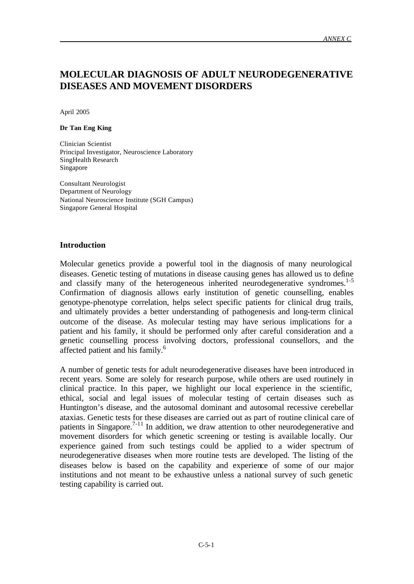# **MOLECULAR DIAGNOSIS OF ADULT NEURODEGENERATIVE DISEASES AND MOVEMENT DISORDERS**

April 2005

#### **Dr Tan Eng King**

Clinician Scientist Principal Investigator, Neuroscience Laboratory SingHealth Research Singapore

Consultant Neurologist Department of Neurology National Neuroscience Institute (SGH Campus) Singapore General Hospital

#### **Introduction**

Molecular genetics provide a powerful tool in the diagnosis of many neurological diseases. Genetic testing of mutations in disease causing genes has allowed us to define and classify many of the heterogeneous inherited neurodegenerative syndromes.<sup>1-5</sup> Confirmation of diagnosis allows early institution of genetic counselling, enables genotype-phenotype correlation, helps select specific patients for clinical drug trails, and ultimately provides a better understanding of pathogenesis and long-term clinical outcome of the disease. As molecular testing may have serious implications for a patient and his family, it should be performed only after careful consideration and a genetic counselling process involving doctors, professional counsellors, and the affected patient and his family.<sup>6</sup>

A number of genetic tests for adult neurodegenerative diseases have been introduced in recent years. Some are solely for research purpose, while others are used routinely in clinical practice. In this paper, we highlight our local experience in the scientific, ethical, social and legal issues of molecular testing of certain diseases such as Huntington's disease, and the autosomal dominant and autosomal recessive cerebellar ataxias. Genetic tests for these diseases are carried out as part of routine clinical care of patients in Singapore.<sup>7-11</sup> In addition, we draw attention to other neurodegenerative and movement disorders for which genetic screening or testing is available locally. Our experience gained from such testings could be applied to a wider spectrum of neurodegenerative diseases when more routine tests are developed. The listing of the diseases below is based on the capability and experience of some of our major institutions and not meant to be exhaustive unless a national survey of such genetic testing capability is carried out.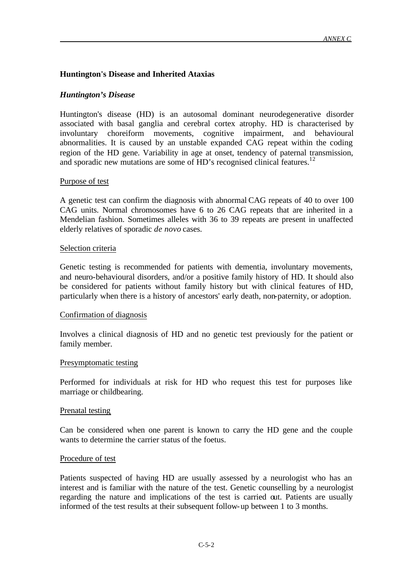### **Huntington's Disease and Inherited Ataxias**

# *Huntington's Disease*

Huntington's disease (HD) is an autosomal dominant neurodegenerative disorder associated with basal ganglia and cerebral cortex atrophy. HD is characterised by involuntary choreiform movements, cognitive impairment, and behavioural abnormalities. It is caused by an unstable expanded CAG repeat within the coding region of the HD gene. Variability in age at onset, tendency of paternal transmission, and sporadic new mutations are some of HD's recognised clinical features.<sup>12</sup>

### Purpose of test

A genetic test can confirm the diagnosis with abnormal CAG repeats of 40 to over 100 CAG units. Normal chromosomes have 6 to 26 CAG repeats that are inherited in a Mendelian fashion. Sometimes alleles with 36 to 39 repeats are present in unaffected elderly relatives of sporadic *de novo* cases.

#### Selection criteria

Genetic testing is recommended for patients with dementia, involuntary movements, and neuro-behavioural disorders, and/or a positive family history of HD. It should also be considered for patients without family history but with clinical features of HD, particularly when there is a history of ancestors' early death, non-paternity, or adoption.

### Confirmation of diagnosis

Involves a clinical diagnosis of HD and no genetic test previously for the patient or family member.

#### Presymptomatic testing

Performed for individuals at risk for HD who request this test for purposes like marriage or childbearing.

### Prenatal testing

Can be considered when one parent is known to carry the HD gene and the couple wants to determine the carrier status of the foetus.

#### Procedure of test

Patients suspected of having HD are usually assessed by a neurologist who has an interest and is familiar with the nature of the test. Genetic counselling by a neurologist regarding the nature and implications of the test is carried out. Patients are usually informed of the test results at their subsequent follow-up between 1 to 3 months.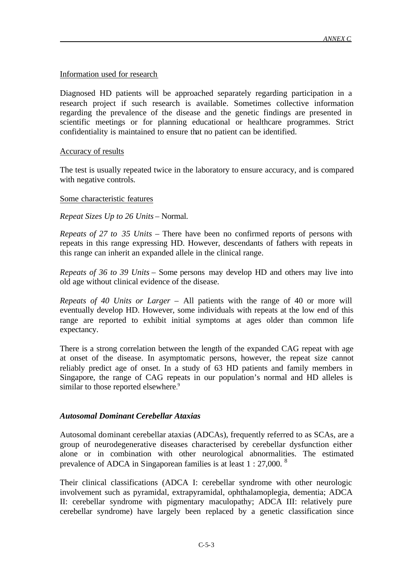Information used for research

Diagnosed HD patients will be approached separately regarding participation in a research project if such research is available. Sometimes collective information regarding the prevalence of the disease and the genetic findings are presented in scientific meetings or for planning educational or healthcare programmes. Strict confidentiality is maintained to ensure that no patient can be identified.

#### Accuracy of results

The test is usually repeated twice in the laboratory to ensure accuracy, and is compared with negative controls.

#### Some characteristic features

#### *Repeat Sizes Up to 26 Units* – Normal.

*Repeats of 27 to 35 Units* – There have been no confirmed reports of persons with repeats in this range expressing HD. However, descendants of fathers with repeats in this range can inherit an expanded allele in the clinical range.

*Repeats of 36 to 39 Units* – Some persons may develop HD and others may live into old age without clinical evidence of the disease.

*Repeats of 40 Units or Larger* – All patients with the range of 40 or more will eventually develop HD. However, some individuals with repeats at the low end of this range are reported to exhibit initial symptoms at ages older than common life expectancy.

There is a strong correlation between the length of the expanded CAG repeat with age at onset of the disease. In asymptomatic persons, however, the repeat size cannot reliably predict age of onset. In a study of 63 HD patients and family members in Singapore, the range of CAG repeats in our population's normal and HD alleles is similar to those reported elsewhere.<sup>9</sup>

### *Autosomal Dominant Cerebellar Ataxias*

Autosomal dominant cerebellar ataxias (ADCAs), frequently referred to as SCAs, are a group of neurodegenerative diseases characterised by cerebellar dysfunction either alone or in combination with other neurological abnormalities. The estimated prevalence of ADCA in Singaporean families is at least 1 : 27,000. <sup>8</sup>

Their clinical classifications (ADCA I: cerebellar syndrome with other neurologic involvement such as pyramidal, extrapyramidal, ophthalamoplegia, dementia; ADCA II: cerebellar syndrome with pigmentary maculopathy; ADCA III: relatively pure cerebellar syndrome) have largely been replaced by a genetic classification since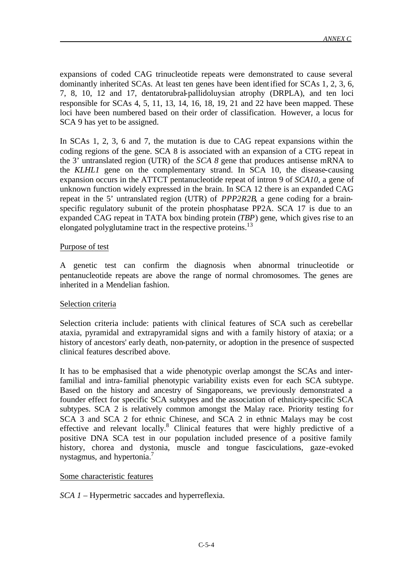expansions of coded CAG trinucleotide repeats were demonstrated to cause several dominantly inherited SCAs. At least ten genes have been identified for SCAs 1, 2, 3, 6, 7, 8, 10, 12 and 17, dentatorubral-pallidoluysian atrophy (DRPLA), and ten loci responsible for SCAs 4, 5, 11, 13, 14, 16, 18, 19, 21 and 22 have been mapped. These loci have been numbered based on their order of classification. However, a locus for SCA 9 has yet to be assigned.

In SCAs 1, 2, 3, 6 and 7, the mutation is due to CAG repeat expansions within the coding regions of the gene. SCA 8 is associated with an expansion of a CTG repeat in the 3' untranslated region (UTR) of the *SCA 8* gene that produces antisense mRNA to the *KLHL1* gene on the complementary strand. In SCA 10, the disease-causing expansion occurs in the ATTCT pentanucleotide repeat of intron 9 of *SCA10,* a gene of unknown function widely expressed in the brain. In SCA 12 there is an expanded CAG repeat in the 5' untranslated region (UTR) of *PPP2R2B*, a gene coding for a brainspecific regulatory subunit of the protein phosphatase PP2A. SCA 17 is due to an expanded CAG repeat in TATA box binding protein (*TBP*) gene, which gives rise to an elongated polyglutamine tract in the respective proteins.<sup>13</sup>

### Purpose of test

A genetic test can confirm the diagnosis when abnormal trinucleotide or pentanucleotide repeats are above the range of normal chromosomes. The genes are inherited in a Mendelian fashion.

### Selection criteria

Selection criteria include: patients with clinical features of SCA such as cerebellar ataxia, pyramidal and extrapyramidal signs and with a family history of ataxia; or a history of ancestors' early death, non-paternity, or adoption in the presence of suspected clinical features described above.

It has to be emphasised that a wide phenotypic overlap amongst the SCAs and interfamilial and intra-familial phenotypic variability exists even for each SCA subtype. Based on the history and ancestry of Singaporeans, we previously demonstrated a founder effect for specific SCA subtypes and the association of ethnicity-specific SCA subtypes. SCA 2 is relatively common amongst the Malay race. Priority testing for SCA 3 and SCA 2 for ethnic Chinese, and SCA 2 in ethnic Malays may be cost effective and relevant locally.<sup>8</sup> Clinical features that were highly predictive of a positive DNA SCA test in our population included presence of a positive family history, chorea and dystonia, muscle and tongue fasciculations, gaze-evoked nystagmus, and hypertonia.<sup>7</sup>

### Some characteristic features

*SCA 1* – Hypermetric saccades and hyperreflexia.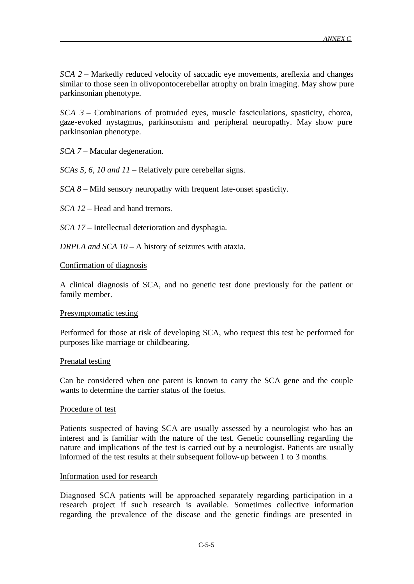*SCA 2* – Markedly reduced velocity of saccadic eye movements, areflexia and changes similar to those seen in olivopontocerebellar atrophy on brain imaging. May show pure parkinsonian phenotype.

*SCA 3* – Combinations of protruded eyes, muscle fasciculations, spasticity, chorea, gaze-evoked nystagmus, parkinsonism and peripheral neuropathy. May show pure parkinsonian phenotype.

*SCA 7* – Macular degeneration.

*SCAs 5, 6, 10 and 11* – Relatively pure cerebellar signs.

*SCA 8* – Mild sensory neuropathy with frequent late-onset spasticity.

*SCA 12* – Head and hand tremors.

*SCA 17* – Intellectual deterioration and dysphagia.

*DRPLA and SCA 10* – A history of seizures with ataxia.

### Confirmation of diagnosis

A clinical diagnosis of SCA, and no genetic test done previously for the patient or family member.

### Presymptomatic testing

Performed for those at risk of developing SCA, who request this test be performed for purposes like marriage or childbearing.

### Prenatal testing

Can be considered when one parent is known to carry the SCA gene and the couple wants to determine the carrier status of the foetus.

### Procedure of test

Patients suspected of having SCA are usually assessed by a neurologist who has an interest and is familiar with the nature of the test. Genetic counselling regarding the nature and implications of the test is carried out by a neurologist. Patients are usually informed of the test results at their subsequent follow-up between 1 to 3 months.

### Information used for research

Diagnosed SCA patients will be approached separately regarding participation in a research project if such research is available. Sometimes collective information regarding the prevalence of the disease and the genetic findings are presented in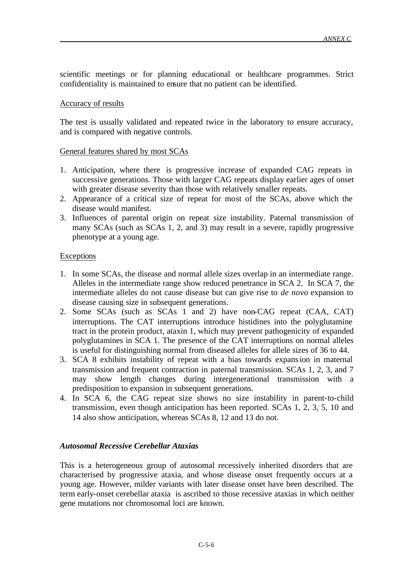scientific meetings or for planning educational or healthcare programmes. Strict confidentiality is maintained to ensure that no patient can be identified.

#### Accuracy of results

The test is usually validated and repeated twice in the laboratory to ensure accuracy, and is compared with negative controls.

#### General features shared by most SCAs

- 1. Anticipation, where there is progressive increase of expanded CAG repeats in successive generations. Those with larger CAG repeats display earlier ages of onset with greater disease severity than those with relatively smaller repeats.
- 2. Appearance of a critical size of repeat for most of the SCAs, above which the disease would manifest.
- 3. Influences of parental origin on repeat size instability. Paternal transmission of many SCAs (such as SCAs 1, 2, and 3) may result in a severe, rapidly progressive phenotype at a young age.

### Exceptions

- 1. In some SCAs, the disease and normal allele sizes overlap in an intermediate range. Alleles in the intermediate range show reduced penetrance in SCA 2. In SCA 7, the intermediate alleles do not cause disease but can give rise to *de novo* expansion to disease causing size in subsequent generations.
- 2. Some SCAs (such as SCAs 1 and 2) have non-CAG repeat (CAA, CAT) interruptions. The CAT interruptions introduce histidines into the polyglutamine tract in the protein product, ataxin 1, which may prevent pathogenicity of expanded polyglutamines in SCA 1. The presence of the CAT interruptions on normal alleles is useful for distinguishing normal from diseased alleles for allele sizes of 36 to 44.
- 3. SCA 8 exhibits instability of repeat with a bias towards expansion in maternal transmission and frequent contraction in paternal transmission. SCAs 1, 2, 3, and 7 may show length changes during intergenerational transmission with a predisposition to expansion in subsequent generations.
- 4. In SCA 6, the CAG repeat size shows no size instability in parent-to-child transmission, even though anticipation has been reported. SCAs 1, 2, 3, 5, 10 and 14 also show anticipation, whereas SCAs 8, 12 and 13 do not.

### *Autosomal Recessive Cerebellar Ataxias*

This is a heterogeneous group of autosomal recessively inherited disorders that are characterised by progressive ataxia, and whose disease onset frequently occurs at a young age. However, milder variants with later disease onset have been described. The term early-onset cerebellar ataxia is ascribed to those recessive ataxias in which neither gene mutations nor chromosomal loci are known.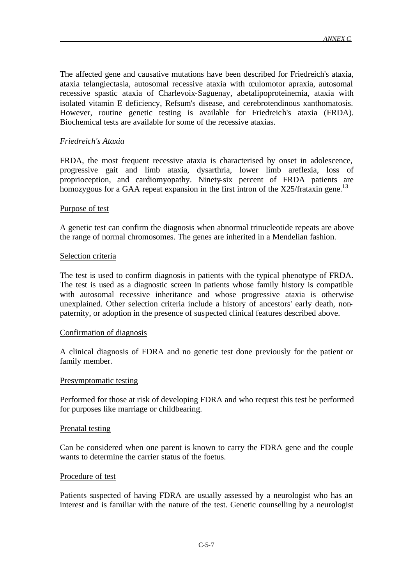The affected gene and causative mutations have been described for Friedreich's ataxia, ataxia telangiectasia, autosomal recessive ataxia with oculomotor apraxia, autosomal recessive spastic ataxia of Charlevoix-Saguenay, abetalipoproteinemia, ataxia with isolated vitamin E deficiency, Refsum's disease, and cerebrotendinous xanthomatosis. However, routine genetic testing is available for Friedreich's ataxia (FRDA). Biochemical tests are available for some of the recessive ataxias.

#### *Friedreich's Ataxia*

FRDA, the most frequent recessive ataxia is characterised by onset in adolescence, progressive gait and limb ataxia, dysarthria, lower limb areflexia, loss of proprioception, and cardiomyopathy. Ninety-six percent of FRDA patients are homozygous for a GAA repeat expansion in the first intron of the  $X25/frataxin$  gene.<sup>13</sup>

#### Purpose of test

A genetic test can confirm the diagnosis when abnormal trinucleotide repeats are above the range of normal chromosomes. The genes are inherited in a Mendelian fashion.

#### Selection criteria

The test is used to confirm diagnosis in patients with the typical phenotype of FRDA. The test is used as a diagnostic screen in patients whose family history is compatible with autosomal recessive inheritance and whose progressive ataxia is otherwise unexplained. Other selection criteria include a history of ancestors' early death, nonpaternity, or adoption in the presence of suspected clinical features described above.

#### Confirmation of diagnosis

A clinical diagnosis of FDRA and no genetic test done previously for the patient or family member.

#### Presymptomatic testing

Performed for those at risk of developing FDRA and who request this test be performed for purposes like marriage or childbearing.

#### Prenatal testing

Can be considered when one parent is known to carry the FDRA gene and the couple wants to determine the carrier status of the foetus.

#### Procedure of test

Patients suspected of having FDRA are usually assessed by a neurologist who has an interest and is familiar with the nature of the test. Genetic counselling by a neurologist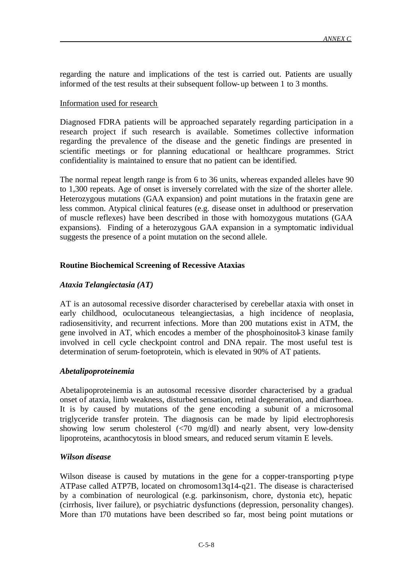regarding the nature and implications of the test is carried out. Patients are usually informed of the test results at their subsequent follow-up between 1 to 3 months.

#### Information used for research

Diagnosed FDRA patients will be approached separately regarding participation in a research project if such research is available. Sometimes collective information regarding the prevalence of the disease and the genetic findings are presented in scientific meetings or for planning educational or healthcare programmes. Strict confidentiality is maintained to ensure that no patient can be identified.

The normal repeat length range is from 6 to 36 units, whereas expanded alleles have 90 to 1,300 repeats. Age of onset is inversely correlated with the size of the shorter allele. Heterozygous mutations (GAA expansion) and point mutations in the frataxin gene are less common. Atypical clinical features (e.g. disease onset in adulthood or preservation of muscle reflexes) have been described in those with homozygous mutations (GAA expansions). Finding of a heterozygous GAA expansion in a symptomatic individual suggests the presence of a point mutation on the second allele.

# **Routine Biochemical Screening of Recessive Ataxias**

### *Ataxia Telangiectasia (AT)*

AT is an autosomal recessive disorder characterised by cerebellar ataxia with onset in early childhood, oculocutaneous teleangiectasias, a high incidence of neoplasia, radiosensitivity, and recurrent infections. More than 200 mutations exist in ATM, the gene involved in AT, which encodes a member of the phosphoinositol-3 kinase family involved in cell cycle checkpoint control and DNA repair. The most useful test is determination of serum-foetoprotein, which is elevated in 90% of AT patients.

### *Abetalipoproteinemia*

Abetalipoproteinemia is an autosomal recessive disorder characterised by a gradual onset of ataxia, limb weakness, disturbed sensation, retinal degeneration, and diarrhoea. It is by caused by mutations of the gene encoding a subunit of a microsomal triglyceride transfer protein. The diagnosis can be made by lipid electrophoresis showing low serum cholesterol (<70 mg/dl) and nearly absent, very low-density lipoproteins, acanthocytosis in blood smears, and reduced serum vitamin E levels.

### *Wilson disease*

Wilson disease is caused by mutations in the gene for a copper-transporting p-type ATPase called ATP7B, located on chromosom13q14-q21. The disease is characterised by a combination of neurological (e.g. parkinsonism, chore, dystonia etc), hepatic (cirrhosis, liver failure), or psychiatric dysfunctions (depression, personality changes). More than 170 mutations have been described so far, most being point mutations or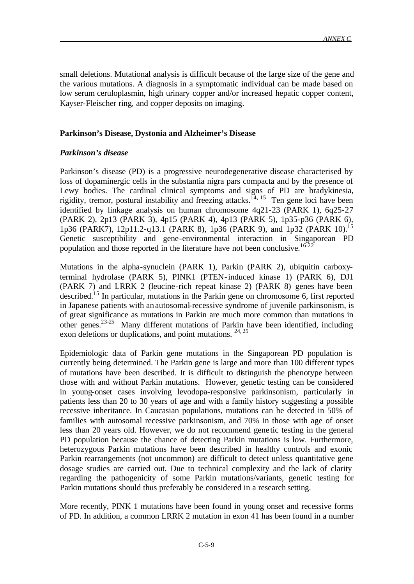small deletions. Mutational analysis is difficult because of the large size of the gene and the various mutations. A diagnosis in a symptomatic individual can be made based on low serum ceruloplasmin, high urinary copper and/or increased hepatic copper content, Kayser-Fleischer ring, and copper deposits on imaging.

### **Parkinson's Disease, Dystonia and Alzheimer's Disease**

### *Parkinson's disease*

Parkinson's disease (PD) is a progressive neurodegenerative disease characterised by loss of dopaminergic cells in the substantia nigra pars compacta and by the presence of Lewy bodies. The cardinal clinical symptoms and signs of PD are bradykinesia, rigidity, tremor, postural instability and freezing attacks.<sup> $14, 15$ </sup> Ten gene loci have been identified by linkage analysis on human chromosome 4q21-23 (PARK 1), 6q25-27 (PARK 2), 2p13 (PARK 3), 4p15 (PARK 4), 4p13 (PARK 5), 1p35-p36 (PARK 6), 1p36 (PARK7), 12p11.2-q13.1 (PARK 8), 1p36 (PARK 9), and 1p32 (PARK 10).<sup>15</sup> Genetic susceptibility and gene-environmental interaction in Singaporean PD population and those reported in the literature have not been conclusive.  $16-22$ 

Mutations in the alpha-synuclein (PARK 1), Parkin (PARK 2), ubiquitin carboxyterminal hydrolase (PARK 5), PINK1 (PTEN-induced kinase 1) (PARK 6), DJ1 (PARK 7) and LRRK 2 (leucine-rich repeat kinase 2) (PARK 8) genes have been described.<sup>15</sup> In particular, mutations in the Parkin gene on chromosome 6, first reported in Japanese patients with an autosomal-recessive syndrome of juvenile parkinsonism, is of great significance as mutations in Parkin are much more common than mutations in other genes.23-25 Many different mutations of Parkin have been identified, including exon deletions or duplications, and point mutations.  $24,25$ 

Epidemiologic data of Parkin gene mutations in the Singaporean PD population is currently being determined. The Parkin gene is large and more than 100 different types of mutations have been described. It is difficult to distinguish the phenotype between those with and without Parkin mutations. However, genetic testing can be considered in young-onset cases involving levodopa-responsive parkinsonism, particularly in patients less than 20 to 30 years of age and with a family history suggesting a possible recessive inheritance. In Caucasian populations, mutations can be detected in 50% of families with autosomal recessive parkinsonism, and 70% in those with age of onset less than 20 years old. However, we do not recommend gene tic testing in the general PD population because the chance of detecting Parkin mutations is low. Furthermore, heterozygous Parkin mutations have been described in healthy controls and exonic Parkin rearrangements (not uncommon) are difficult to detect unless quantitative gene dosage studies are carried out. Due to technical complexity and the lack of clarity regarding the pathogenicity of some Parkin mutations/variants, genetic testing for Parkin mutations should thus preferably be considered in a research setting.

More recently, PINK 1 mutations have been found in young onset and recessive forms of PD. In addition, a common LRRK 2 mutation in exon 41 has been found in a number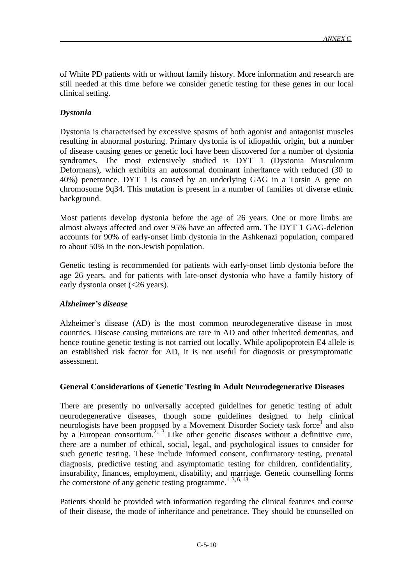of White PD patients with or without family history. More information and research are still needed at this time before we consider genetic testing for these genes in our local clinical setting.

# *Dystonia*

Dystonia is characterised by excessive spasms of both agonist and antagonist muscles resulting in abnormal posturing. Primary dystonia is of idiopathic origin, but a number of disease causing genes or genetic loci have been discovered for a number of dystonia syndromes. The most extensively studied is DYT 1 (Dystonia Musculorum Deformans), which exhibits an autosomal dominant inheritance with reduced (30 to 40%) penetrance. DYT 1 is caused by an underlying GAG in a Torsin A gene on chromosome 9q34. This mutation is present in a number of families of diverse ethnic background.

Most patients develop dystonia before the age of 26 years. One or more limbs are almost always affected and over 95% have an affected arm. The DYT 1 GAG-deletion accounts for 90% of early-onset limb dystonia in the Ashkenazi population, compared to about 50% in the non-Jewish population.

Genetic testing is recommended for patients with early-onset limb dystonia before the age 26 years, and for patients with late-onset dystonia who have a family history of early dystonia onset (<26 years).

### *Alzheimer's disease*

Alzheimer's disease (AD) is the most common neurodegenerative disease in most countries. Disease causing mutations are rare in AD and other inherited dementias, and hence routine genetic testing is not carried out locally. While apolipoprotein E4 allele is an established risk factor for AD, it is not useful for diagnosis or presymptomatic assessment.

### **General Considerations of Genetic Testing in Adult Neurodegenerative Diseases**

There are presently no universally accepted guidelines for genetic testing of adult neurodegenerative diseases, though some guidelines designed to help clinical neurologists have been proposed by a Movement Disorder Society task force<sup>1</sup> and also by a European consortium.<sup>2, 3</sup> Like other genetic diseases without a definitive cure, there are a number of ethical, social, legal, and psychological issues to consider for such genetic testing. These include informed consent, confirmatory testing, prenatal diagnosis, predictive testing and asymptomatic testing for children, confidentiality, insurability, finances, employment, disability, and marriage. Genetic counselling forms the cornerstone of any genetic testing programme.<sup>1-3, 6, 13</sup>

Patients should be provided with information regarding the clinical features and course of their disease, the mode of inheritance and penetrance. They should be counselled on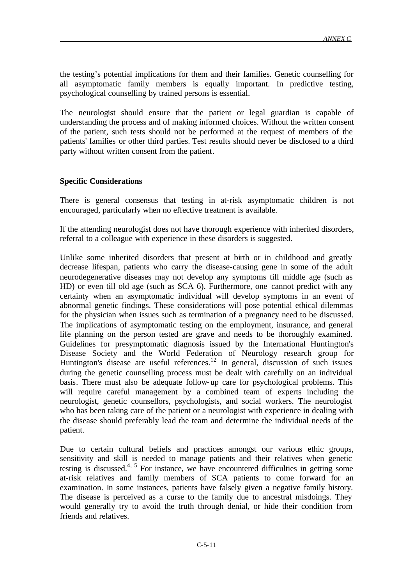the testing's potential implications for them and their families. Genetic counselling for all asymptomatic family members is equally important. In predictive testing, psychological counselling by trained persons is essential.

The neurologist should ensure that the patient or legal guardian is capable of understanding the process and of making informed choices. Without the written consent of the patient, such tests should not be performed at the request of members of the patients' families or other third parties. Test results should never be disclosed to a third party without written consent from the patient.

#### **Specific Considerations**

There is general consensus that testing in at-risk asymptomatic children is not encouraged, particularly when no effective treatment is available.

If the attending neurologist does not have thorough experience with inherited disorders, referral to a colleague with experience in these disorders is suggested.

Unlike some inherited disorders that present at birth or in childhood and greatly decrease lifespan, patients who carry the disease-causing gene in some of the adult neurodegenerative diseases may not develop any symptoms till middle age (such as HD) or even till old age (such as SCA 6). Furthermore, one cannot predict with any certainty when an asymptomatic individual will develop symptoms in an event of abnormal genetic findings. These considerations will pose potential ethical dilemmas for the physician when issues such as termination of a pregnancy need to be discussed. The implications of asymptomatic testing on the employment, insurance, and general life planning on the person tested are grave and needs to be thoroughly examined. Guidelines for presymptomatic diagnosis issued by the International Huntington's Disease Society and the World Federation of Neurology research group for Huntington's disease are useful references.<sup>12</sup> In general, discussion of such issues during the genetic counselling process must be dealt with carefully on an individual basis. There must also be adequate follow-up care for psychological problems. This will require careful management by a combined team of experts including the neurologist, genetic counsellors, psychologists, and social workers. The neurologist who has been taking care of the patient or a neurologist with experience in dealing with the disease should preferably lead the team and determine the individual needs of the patient.

Due to certain cultural beliefs and practices amongst our various ethic groups, sensitivity and skill is needed to manage patients and their relatives when genetic testing is discussed.<sup>4, 5</sup> For instance, we have encountered difficulties in getting some at-risk relatives and family members of SCA patients to come forward for an examination. In some instances, patients have falsely given a negative family history. The disease is perceived as a curse to the family due to ancestral misdoings. They would generally try to avoid the truth through denial, or hide their condition from friends and relatives.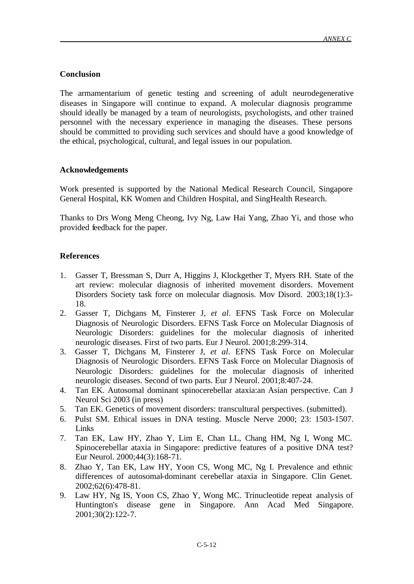# **Conclusion**

The armamentarium of genetic testing and screening of adult neurodegenerative diseases in Singapore will continue to expand. A molecular diagnosis programme should ideally be managed by a team of neurologists, psychologists, and other trained personnel with the necessary experience in managing the diseases. These persons should be committed to providing such services and should have a good knowledge of the ethical, psychological, cultural, and legal issues in our population.

# **Acknowledgements**

Work presented is supported by the National Medical Research Council, Singapore General Hospital, KK Women and Children Hospital, and SingHealth Research.

Thanks to Drs Wong Meng Cheong, Ivy Ng, Law Hai Yang, Zhao Yi, and those who provided feedback for the paper.

# **References**

- 1. Gasser T, Bressman S, Durr A, Higgins J, Klockgether T, Myers RH. State of the art review: molecular diagnosis of inherited movement disorders. Movement Disorders Society task force on molecular diagnosis. Mov Disord. 2003;18(1):3- 18.
- 2. Gasser T, Dichgans M, Finsterer J, *et al*. EFNS Task Force on Molecular Diagnosis of Neurologic Disorders. EFNS Task Force on Molecular Diagnosis of Neurologic Disorders: guidelines for the molecular diagnosis of inherited neurologic diseases. First of two parts. Eur J Neurol. 2001;8:299-314.
- 3. Gasser T, Dichgans M, Finsterer J, *et al*. EFNS Task Force on Molecular Diagnosis of Neurologic Disorders. EFNS Task Force on Molecular Diagnosis of Neurologic Disorders: guidelines for the molecular diagnosis of inherited neurologic diseases. Second of two parts. Eur J Neurol. 2001;8:407-24.
- 4. Tan EK. Autosomal dominant spinocerebellar ataxia:an Asian perspective. Can J Neurol Sci 2003 (in press)
- 5. Tan EK. Genetics of movement disorders: transcultural perspectives. (submitted).
- 6. Pulst SM. Ethical issues in DNA testing. Muscle Nerve 2000; 23: 1503-1507. Links
- 7. Tan EK, Law HY, Zhao Y, Lim E, Chan LL, Chang HM, Ng I, Wong MC. Spinocerebellar ataxia in Singapore: predictive features of a positive DNA test? Eur Neurol. 2000;44(3):168-71.
- 8. Zhao Y, Tan EK, Law HY, Yoon CS, Wong MC, Ng I. Prevalence and ethnic differences of autosomal-dominant cerebellar ataxia in Singapore. Clin Genet. 2002;62(6):478-81.
- 9. Law HY, Ng IS, Yoon CS, Zhao Y, Wong MC. Trinucleotide repeat analysis of Huntington's disease gene in Singapore. Ann Acad Med Singapore. 2001;30(2):122-7.